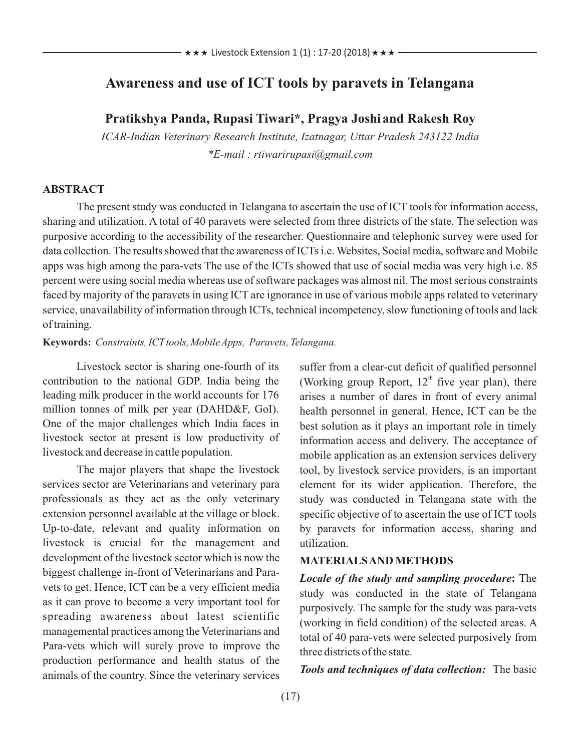# **Awareness and use of ICT tools by paravets in Telangana**

**Pratikshya Panda, Rupasi Tiwari\*, Pragya Joshiand Rakesh Roy**

*ICAR-Indian Veterinary Research Institute, Izatnagar, Uttar Pradesh 243122 India \*E-mail : rtiwarirupasi@gmail.com*

### **ABSTRACT**

The present study was conducted in Telangana to ascertain the use of ICT tools for information access, sharing and utilization. A total of 40 paravets were selected from three districts of the state. The selection was purposive according to the accessibility of the researcher. Questionnaire and telephonic survey were used for data collection. The results showed that the awareness of ICTs i.e. Websites, Social media, software and Mobile apps was high among the para-vets The use of the ICTs showed that use of social media was very high i.e. 85 percent were using social media whereas use of software packages was almost nil. The most serious constraints faced by majority of the paravets in using ICT are ignorance in use of various mobile apps related to veterinary service, unavailability of information through ICTs, technical incompetency, slow functioning of tools and lack of training.

#### **Keywords:** *Constraints, ICTtools, Mobile Apps, Paravets, Telangana.*

Livestock sector is sharing one-fourth of its contribution to the national GDP. India being the leading milk producer in the world accounts for 176 million tonnes of milk per year (DAHD&F, GoI). One of the major challenges which India faces in livestock sector at present is low productivity of livestock and decrease in cattle population.

The major players that shape the livestock services sector are Veterinarians and veterinary para professionals as they act as the only veterinary extension personnel available at the village or block. Up-to-date, relevant and quality information on livestock is crucial for the management and development of the livestock sector which is now the biggest challenge in-front of Veterinarians and Paravets to get. Hence, ICT can be a very efficient media as it can prove to become a very important tool for spreading awareness about latest scientific managemental practices among the Veterinarians and Para-vets which will surely prove to improve the production performance and health status of the animals of the country. Since the veterinary services

suffer from a clear-cut deficit of qualified personnel (Working group Report,  $12<sup>th</sup>$  five year plan), there arises a number of dares in front of every animal health personnel in general. Hence, ICT can be the best solution as it plays an important role in timely information access and delivery. The acceptance of mobile application as an extension services delivery tool, by livestock service providers, is an important element for its wider application. Therefore, the study was conducted in Telangana state with the specific objective of to ascertain the use of ICT tools by paravets for information access, sharing and utilization.

### **MATERIALS AND METHODS**

*Locale of the study and sampling procedure***:** The study was conducted in the state of Telangana purposively. The sample for the study was para-vets (working in field condition) of the selected areas. A total of 40 para-vets were selected purposively from three districts of the state.

*Tools and techniques of data collection:* The basic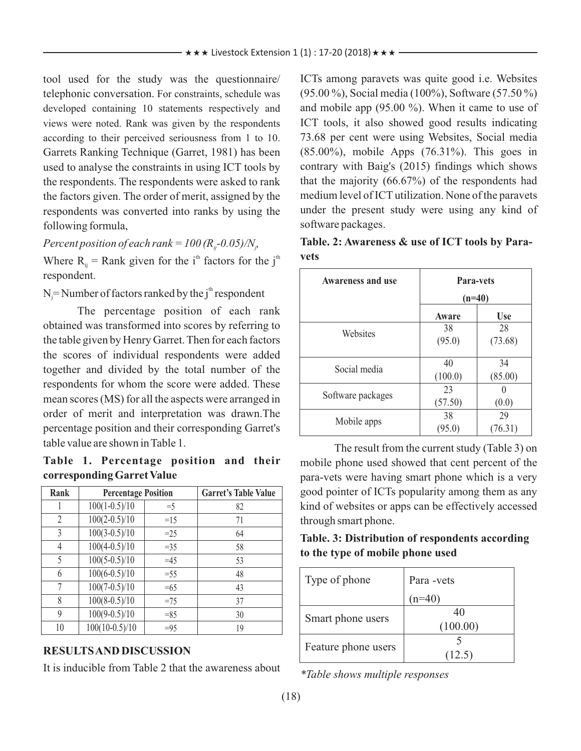tool used for the study was the questionnaire/ telephonic conversation. For constraints, schedule was developed containing 10 statements respectively and views were noted. Rank was given by the respondents according to their perceived seriousness from 1 to 10. Garrets Ranking Technique (Garret, 1981) has been used to analyse the constraints in using ICT tools by the respondents. The respondents were asked to rank the factors given. The order of merit, assigned by the respondents was converted into ranks by using the following formula,

*Percent position of each rank =*  $100 (R<sub>ii</sub> - 0.05)/N<sub>i</sub>$ 

Where  $R_{ii}$  = Rank given for the i<sup>th</sup> factors for the j<sup>th</sup> respondent.

 $N =$  Number of factors ranked by the j<sup>th</sup> respondent

The percentage position of each rank obtained was transformed into scores by referring to the table given by Henry Garret. Then for each factors the scores of individual respondents were added together and divided by the total number of the respondents for whom the score were added. These mean scores (MS) for all the aspects were arranged in order of merit and interpretation was drawn.The percentage position and their corresponding Garret's table value are shown in Table 1.

**Table 1. Percentage position and their corresponding Garret Value**

| Rank           | <b>Percentage Position</b> |        | <b>Garret's Table Value</b> |
|----------------|----------------------------|--------|-----------------------------|
|                | $100(1-0.5)/10$            | $=$ 5  | 82                          |
| $\overline{2}$ | $100(2-0.5)/10$            | $=15$  | 71                          |
| 3              | $100(3-0.5)/10$            | $=25$  | 64                          |
| 4              | $100(4-0.5)/10$            | $=35$  | 58                          |
| 5              | $100(5-0.5)/10$            | $=45$  | 53                          |
| 6              | $100(6-0.5)/10$            | $= 55$ | 48                          |
| 7              | $100(7-0.5)/10$            | $=65$  | 43                          |
| 8              | $100(8-0.5)/10$            | $=75$  | 37                          |
| 9              | $100(9-0.5)/10$            | $=85$  | 30                          |
| 10             | $100(10-0.5)/10$           | $=95$  | 19                          |

## **RESULTS AND DISCUSSION**

It is inducible from Table 2 that the awareness about

ICTs among paravets was quite good i.e. Websites (95.00 %), Social media (100%), Software (57.50 %) and mobile app (95.00 %). When it came to use of ICT tools, it also showed good results indicating 73.68 per cent were using Websites, Social media (85.00%), mobile Apps (76.31%). This goes in contrary with Baig's (2015) findings which shows that the majority (66.67%) of the respondents had medium level of ICTutilization. None of the paravets under the present study were using any kind of software packages.

|      | Table. 2: Awareness & use of ICT tools by Para- |  |  |  |  |
|------|-------------------------------------------------|--|--|--|--|
| vets |                                                 |  |  |  |  |

| <b>Awareness and use</b> | <b>Para-vets</b><br>$(n=40)$ |               |  |
|--------------------------|------------------------------|---------------|--|
|                          | Aware                        | <b>Use</b>    |  |
| Websites                 | 38<br>(95.0)                 | 28<br>(73.68) |  |
| Social media             | 40<br>(100.0)                | 34<br>(85.00) |  |
| Software packages        | 23<br>(57.50)                | (0.0)         |  |
| Mobile apps              | 38<br>(95.0)                 | 29<br>(76.31) |  |

The result from the current study (Table 3) on mobile phone used showed that cent percent of the para-vets were having smart phone which is a very good pointer of ICTs popularity among them as any kind of websites or apps can be effectively accessed through smart phone.

**Table. 3: Distribution of respondents according to the type of mobile phone used**

| Type of phone       | Para -vets     |
|---------------------|----------------|
|                     | $n=40$         |
| Smart phone users   | 40<br>(100.00) |
| Feature phone users | 12.5           |

*\*Table shows multiple responses*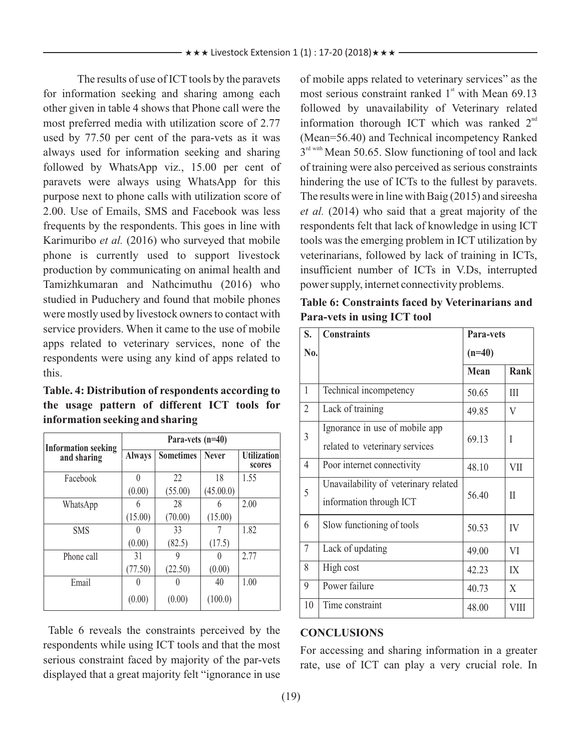The results of use of ICT tools by the paravets for information seeking and sharing among each other given in table 4 shows that Phone call were the most preferred media with utilization score of 2.77 used by 77.50 per cent of the para-vets as it was always used for information seeking and sharing followed by WhatsApp viz., 15.00 per cent of paravets were always using WhatsApp for this purpose next to phone calls with utilization score of 2.00. Use of Emails, SMS and Facebook was less frequents by the respondents. This goes in line with Karimuribo *et al.* (2016) who surveyed that mobile phone is currently used to support livestock production by communicating on animal health and Tamizhkumaran and Nathcimuthu (2016) who studied in Puduchery and found that mobile phones were mostly used by livestock owners to contact with service providers. When it came to the use of mobile apps related to veterinary services, none of the respondents were using any kind of apps related to this.

**Table. 4: Distribution of respondents according to the usage pattern of different ICT tools for information seeking and sharing**

|                                           | Para-vets $(n=40)$ |                  |              |                              |  |  |
|-------------------------------------------|--------------------|------------------|--------------|------------------------------|--|--|
| <b>Information seeking</b><br>and sharing | <b>Always</b>      | <b>Sometimes</b> | <b>Never</b> | <b>Utilization</b><br>scores |  |  |
| Facebook                                  | 0                  | 22               | 18           | 1.55                         |  |  |
|                                           | (0.00)             | (55.00)          | (45.00.0)    |                              |  |  |
| WhatsApp                                  | 6                  | 28               | 6            | 2.00                         |  |  |
|                                           | (15.00)            | (70.00)          | (15.00)      |                              |  |  |
| <b>SMS</b>                                |                    | 33               |              | 1.82                         |  |  |
|                                           | (0.00)             | (82.5)           | (17.5)       |                              |  |  |
| Phone call                                | 31                 | 9                |              | 2.77                         |  |  |
|                                           | (77.50)            | (22.50)          | (0.00)       |                              |  |  |
| Email                                     |                    |                  | 40           | 1.00                         |  |  |
|                                           | (0.00)             | (0.00)           | (100.0)      |                              |  |  |

Table 6 reveals the constraints perceived by the respondents while using ICT tools and that the most serious constraint faced by majority of the par-vets displayed that a great majority felt "ignorance in use of mobile apps related to veterinary services" as the most serious constraint ranked  $1<sup>st</sup>$  with Mean 69.13 followed by unavailability of Veterinary related information thorough ICT which was ranked  $2<sup>nd</sup>$ (Mean=56.40) and Technical incompetency Ranked  $3<sup>rd</sup>$  with Mean 50.65. Slow functioning of tool and lack of training were also perceived as serious constraints hindering the use of ICTs to the fullest by paravets. The results were in line with Baig (2015) and sireesha *et al.* (2014) who said that a great majority of the respondents felt that lack of knowledge in using ICT tools was the emerging problem in ICT utilization by veterinarians, followed by lack of training in ICTs, insufficient number of ICTs in V.Ds, interrupted power supply, internet connectivity problems.

| Table 6: Constraints faced by Veterinarians and |
|-------------------------------------------------|
| Para-vets in using ICT tool                     |

| S.             | <b>Constraints</b>                                               | Para-vets   |             |
|----------------|------------------------------------------------------------------|-------------|-------------|
| No.            |                                                                  | $(n=40)$    |             |
|                |                                                                  | <b>Mean</b> | <b>Rank</b> |
| $\mathbf{1}$   | Technical incompetency                                           | 50.65       | III         |
| $\overline{2}$ | Lack of training                                                 | 49.85       | V           |
| 3              | Ignorance in use of mobile app<br>related to veterinary services | 69.13       | I           |
| $\overline{4}$ | Poor internet connectivity                                       | 48.10       | <b>VII</b>  |
| 5              | Unavailability of veterinary related<br>information through ICT  | 56.40       | $_{\rm II}$ |
| 6              | Slow functioning of tools                                        | 50.53       | IV          |
| $\tau$         | Lack of updating                                                 | 49.00       | VI          |
| 8              | High cost                                                        | 42.23       | IX          |
| 9              | Power failure                                                    | 40.73       | X           |
| 10             | Time constraint                                                  | 48.00       | VIII        |

#### **CONCLUSIONS**

For accessing and sharing information in a greater rate, use of ICT can play a very crucial role. In